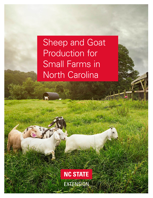# Sheep and Goat Production for Small Farms in North Carolina

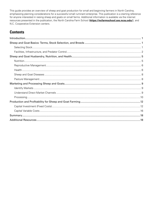This guide provides an overview of sheep and goat production for small and beginning farmers in North Carolina, emphasizing planning considerations for a successful small ruminant enterprise. This publication is a starting reference for anyone interested in raising sheep and goats on small farms. Additional information is available via the internet resources presented in the publication, the North Carolina Farm School (**<https://ncfarmschool.ces.ncsu.edu/>**), and N.C. Cooperative Extension centers.

# **Contents**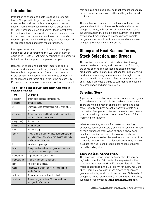# <span id="page-2-0"></span>**Introduction**

Production of sheep and goats is appealing for small farms. Compared to larger ruminants like cattle, more meat can be produced with less forage and pasture space. There are also possible marketing advantages for locally produced lamb and chevon (goat meat). With heavy dependence on imports to meet domestic demand for lamb and chevon, consumers interested in locally sourced options may be willing to pay the prices needed for profitable sheep and goat meat production.

Per capita consumption of lamb is about 1 pound per person per year, according to the U.S. Department of Agriculture (USDA). Goat meat consumption is increasing but still less than ¼ pound per person per year.

Reliance on sheep and goat meat imports is due to several production and marketing obstacles face by U.S. farmers, both large and small. Predators and animal health, particularly internal parasites, create challenges for sheep and goat farms of all sizes in the eastern U.S. Processing and packaging sheep and goat meat for local

| <b>Term</b>  | <b>Definition</b>                                                                                                                     |
|--------------|---------------------------------------------------------------------------------------------------------------------------------------|
| buck (billy) | Intact male goat used for breeding.                                                                                                   |
| buckling     | Immature buck.                                                                                                                        |
| cull         | Breeding animal that is taken out of production<br>and sold                                                                           |
| dewormer     | A commercial animal health product administered<br>to control internal parasites.                                                     |
| doe (nanny)  | Female goat.                                                                                                                          |
| doeling      | Immature doe.                                                                                                                         |
| ewe          | Female sheep.                                                                                                                         |
| feeder       | A young lamb or goat weaned from its mother but<br>still a kid (needs to grow to the desired size to be<br>ready for harvest/market). |
| kid          | Newborn or young goat.                                                                                                                |
| lamb         | Sheep that is newborn to 1 year old; meat from a<br>lamb; the act of a ewe giving birth.                                              |
| market goat  | A goat ready for sale as meat.                                                                                                        |
| market lamb  | A lamb ready for sale as meat.                                                                                                        |
| ram          | An intact male sheep.                                                                                                                 |
| wean         | To remove a lamb or kid from feeding on its<br>mother's milk.                                                                         |
| wether       | A castrated (neutered) lamb or buck.                                                                                                  |
| yearling     | A sheep or goat at least 12 months old but<br>younger than 24 months.                                                                 |

#### **Table 1. Basic Sheep and Goat Terminology Applicable to Pastured Production.**

sale can also be a challenge, as meat processors usually have more experience with cattle and hogs than small ruminants.

This publication contains terminology about sheep and goats; a description of the major breeds and types of sheep and goats; a discussion of management issues including husbandry, animal health, nutrition, and care; advice about marketing and processing; and sample budgets and economic estimates for small-scale sheep and goat production in North Carolina.

# **Sheep and Goat Basics: Terms, Stock Selection, and Breeds**

This section contains information about terminology, breeds, predator control, and infrastructure. Following are some basic terms applicable to sheep and goat production. Other helpful publications for understanding production terminology are referenced throughout this publication, with an Additional Resources section at the end. Table 1 provides a guide to common terms used in pastured sheep and goat production.

# **Selecting Stock**

A primary consideration when selecting sheep and goats for small-scale production is the market for the animals. There are multiple market channels for lamb and goat meat. Identify the best potential nearby markets and the desired final product (size and type of animal) before you start seeking sources of stock (see Section 3 for marketing information).

Whether selecting animals for market or breeding purposes, purchasing healthy animals is essential. Feeder animals purchased after weaning should show good health and be disease-free. Sheep or goats chosen for breeding should also be disease-free and purchased from reputable breeders. An experienced farmer may help you evaluate the health and breeding soundness of higherpriced breeding stock.

## *Sheep and Goat Types and Breeds*

The American Sheep Industry Association (sheepusa. org) lists more than 60 breeds of sheep raised in the U.S., and the American Goat Federation lists about 20 major goat breeds in the U.S. grown for meat, milk, and fiber. There are also many more breeds of sheep and goats worldwide, as shown by more than 150 breeds of sheep and goats listed at the Oklahoma State University livestock breeds website (**[afs.okstate.edu/breeds](http://afs.okstate.edu/breeds)**).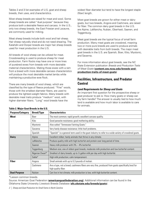<span id="page-3-0"></span>Tables 2 and 3 list examples of U.S. goat and sheep breeds, their uses, and characteristics.

Most sheep breeds are raised for meat and wool. Some sheep breeds are called "dual purpose" because they produce both a desirable fleece and carcass. In the U.S., only two sheep breeds, the East Friesian and Lacaune, are commonly used for milking.

Meat sheep breeds include both wool and hair sheep. Hair sheep naturally shed and do not need shearing. The Katahdin and Dorper breeds are major hair sheep breeds used for meat production in the U.S.

All breeds of wool sheep can be utilized for meat. Crossbreeding is used to produce sheep for meat production. Farm flocks may have one or more lines of purebred ewes from breeds with more desirable maternal characteristics. Mating those ewes with a ram from a breed with more desirable carcass characteristics will produce the most desirable market lambs while maintaining a productive ewe flock.

There are many breeds of wool sheep, which are classified by the type of fleece produced. "Fine" wools, those with the smallest diameter fibers, are used to produce the lightest-weight fabrics. Many breeds with desirable meat traits produce "medium" wool, with higher diameter fibers. "Long" wool breeds have the

widest fiber diameter but tend to have the longest staple (fiber) length.

Most goat breeds are grown for either meat or dairy goats, but two breeds, Angora and Cashmere, are raised for fiber. The common dairy goat breeds in the U.S. are Alpine, LaMancha, Nubian, Oberhasli, Saanen, and Toggenburg.

Meat goat breeds are the typical focus of small farm production. Many meat goats are crossbred, meaning two or more pure breeds are used to produce animals with desirable traits from both breeds. The major meat goat breeds in the U.S. are Spanish, Boer, Kiko, Myotonic, and Savanna.

For more information about goat breeds, see the NC State Extension publication *Breeds and Production Traits of Meat Goats* (**[content.ces.ncsu.edu/breeds-and](https://content.ces.ncsu.edu/breeds-and-production-traits-of-meat-goats)[production-traits-of-meat-goats](https://content.ces.ncsu.edu/breeds-and-production-traits-of-meat-goats)**)

# **Facilities, Infrastructure, and Predator Control**

### *Land Requirements for Sheep and Goats*

An important first question for the prospective sheep or goat producer to ask is: How many goats or sheep can my farm handle? The answer is usually tied to how much land is available and how much labor is available to care for animals.

| <b>Purpose/Category</b> | <b>Breed/Type</b>                                                                           | <b>Characteristics</b>                                                                                                   |  |  |
|-------------------------|---------------------------------------------------------------------------------------------|--------------------------------------------------------------------------------------------------------------------------|--|--|
| <b>Meat</b><br>Boer     |                                                                                             | The most common; rapid growth; excellent carcass quality.                                                                |  |  |
|                         | Kiko                                                                                        | Good parasite resistance; good mothering ability.                                                                        |  |  |
|                         | Myotonic                                                                                    | Also called "Tennessee Fainting Goats."                                                                                  |  |  |
|                         | Savanna                                                                                     | Very hardy disease resistance; little hoof problems.                                                                     |  |  |
|                         | Spanish                                                                                     | "Spanish" is a general term used in the goat industry to refer to a wide variety of crossbred goats.                     |  |  |
| <b>Dairy</b><br>Alpine  |                                                                                             | Excellent milker; hardy animals that thrive in any climate.                                                              |  |  |
|                         | LaMancha                                                                                    | Produce quality milk with high butterfat and protein over long period of time.                                           |  |  |
|                         | Saanen                                                                                      | Heavy milk producer with $3\% - 4\%$ butterfat.                                                                          |  |  |
|                         | Medium size; one of oldest goat breeds; moderate milk production and low butterfat content. |                                                                                                                          |  |  |
|                         | Nigerian Dwarf*                                                                             | Smallest of dairy breeds; up to 1/2 gallon milk per day with high butterfat.                                             |  |  |
|                         | Sable*                                                                                      | High milk production; calm temperament.                                                                                  |  |  |
| <b>Fiber</b>            | Angora                                                                                      | Small animals with up to 5.3 pounds of mohair.                                                                           |  |  |
|                         | Cashmere                                                                                    | Are a type, not a breed; cashmere fibers are very fine, produced from goats specifically bred for<br>high quality fiber. |  |  |
| <b>Dual Purpose</b>     | <b>Nubian</b>                                                                               | Can live in hot climate; milk production is low, with high butterfat content.                                            |  |  |

#### **Table 2. Major Goat Breeds in the U.S.**

\*Lesson common breeds.

Source: American Goat Federation (**[americangoatfederation.org\)](https://americangoatfederation.org)**. Additional information can be found in the Oklahoma State University Livestock Breeds Database (**[afs.okstate.edu/breeds/goats](http://afs.okstate.edu/breeds/goats)**).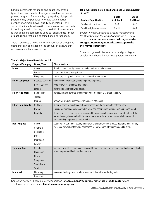Land requirements for sheep and goats vary by the type of land and quality of forage, as well as the desired grazing program. For example, high-quality, high-protein pastures may be periodically rotated with a certain number of animals. Lower quality pastureland—or in some situations, brush—will not sustain as many animals for as long a period. Making it more difficult to estimate is that goats are sometimes used to "shock-graze" brush or pastureland that is being transitioned or reseeded.

Table 4 provides a guideline for the number of sheep and goats that can be grazed on the amount of pasture that one cow animal unit would use.

### **Table 4. Stocking Rate, # Head Sheep and Goats Equivalent Per Cow**

| <b>Pasture Type/Quality</b> | Goats<br># of Head | <b>Sheep</b><br># of Head |
|-----------------------------|--------------------|---------------------------|
| Good quality pasture system | $6 - 8$            | $5 - 6$                   |
| Good brush/browse system    | $9 - 11$           |                           |

Source: *Forage Needs and Grazing Management for Meat Goats in the Humid Southeast*, NC State Extension, **[content.ces.ncsu.edu/forage-needs](https://content.ces.ncsu.edu/forage-needs-and-grazing-management-for-meat-goats-in-the-humid-southeast)[and-grazing-management-for-meat-goats-in](https://content.ces.ncsu.edu/forage-needs-and-grazing-management-for-meat-goats-in-the-humid-southeast)[the-humid-southeast](https://content.ces.ncsu.edu/forage-needs-and-grazing-management-for-meat-goats-in-the-humid-southeast)**

Goats can generally be stocked at a slightly higher density than sheep. Under good pasture conditions,

| <b>Purpose/Category</b>   | <b>Breed/Type</b>         | <b>Characteristics</b>                                                                                                                                                                                                              |
|---------------------------|---------------------------|-------------------------------------------------------------------------------------------------------------------------------------------------------------------------------------------------------------------------------------|
| <b>Meat</b>               | Cheviot                   | Small, compact, hardy animal producing well-muscled carcasses.                                                                                                                                                                      |
|                           | Dorset                    | Known for their lambing ability.                                                                                                                                                                                                    |
|                           | Hampshire                 | Lambs are fast growing with a heavy boned, lean carcass.                                                                                                                                                                            |
| <b>Fiber, Longwool</b>    | <b>Blueface Leicester</b> | Fleece is heavy and curly, weighing up to 20 pounds.                                                                                                                                                                                |
|                           | <b>Border Leicester</b>   | Wool known for brilliance and sheen.                                                                                                                                                                                                |
|                           | Lincoln                   | Referred to as largest wool breed.                                                                                                                                                                                                  |
| <b>Fiber, Fine Wool</b>   | Rambouillet               | Rembouillet and Targhee are common wool breeds in U.S. sheep industry.                                                                                                                                                              |
|                           | Targhee                   |                                                                                                                                                                                                                                     |
|                           | Merino                    | Known for producing most desirable quality of fleeces.                                                                                                                                                                              |
| <b>Fiber, Hair Breeds</b> | St. Croix                 | Superior parasite resistance but poor carcass quality; on some threatened lists.                                                                                                                                                    |
|                           | Dorper                    | Lack parasite resistance observed in other hair sheep; good terminal sire hair sheep breed.                                                                                                                                         |
|                           | Katahdin                  | Composite breed that has been crossbred to achieve certain desirable characteristics of the<br>parent breeds; developed with increased parasite resistance and maternal characteristics;<br>crossbreeding improves carcass quality. |
| <b>Dual Purpose</b>       | Cheviot                   | Desirable for both meat quality and maternal characteristics; produce desirable meat lambs;                                                                                                                                         |
|                           | Columbia                  | wool sold to wool crafters and sometimes for cottage industry spinning and knitting.                                                                                                                                                |
|                           | Corriedale                |                                                                                                                                                                                                                                     |
|                           | Dorset                    |                                                                                                                                                                                                                                     |
|                           | Montadale                 |                                                                                                                                                                                                                                     |
|                           | Polypay                   |                                                                                                                                                                                                                                     |
| <b>Terminal Sire</b>      | Suffolk                   | Improved growth and carcass; often used for crossbreeding to produce meat lambs; may also be                                                                                                                                        |
|                           | Hampshire                 | raised as purebred flocks as dual purpose.                                                                                                                                                                                          |
|                           | Oxford                    |                                                                                                                                                                                                                                     |
|                           | Shropshire                |                                                                                                                                                                                                                                     |
|                           | Southdown                 |                                                                                                                                                                                                                                     |
|                           | Texel                     |                                                                                                                                                                                                                                     |
| <b>Maternal</b>           | Finnsheep                 | Increased lambing rates; produce ewes with desirable mothering traits.                                                                                                                                                              |
|                           | Romanov                   |                                                                                                                                                                                                                                     |

#### **Table 3. Major Sheep Breeds in the U.S.**

Source: American Sheep Industry Association (**[sheepusa.org/resources-materials-breeddirectory](https://sheepusa.org/resources-materials-breeddirectory)**) and The Livestock Conservancy (**[livestockconservancy.org](http://livestockconservancy.org)**).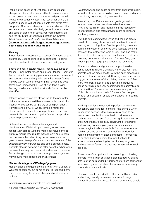including the absence of wet soils, both goats and sheep could be stocked with cattle. For example, one to two goats or one sheep may be added per cow with no pasture productivity loss. The reason for this is that goats and sheep will eat some plants that cattle may not prefer. Goats and sheep also have smaller mouths and are able to more selectively graze different plants and parts of plants than cattle. For more information, see the NC State Extension publication *Co-Grazing Meat Goats and Beef Cattle Has Many Advantages* (**[content.ces.ncsu.edu/co-grazing-meat-goats-and](https://content.ces.ncsu.edu/co-grazing-meat-goats-and-beef-cattle-has-many-advantages)[beef-cattle-has-many-advantages](https://content.ces.ncsu.edu/co-grazing-meat-goats-and-beef-cattle-has-many-advantages)**).

#### *Fencing*

Proper fencing is essential to a successful sheep or goat enterprise. Good fencing is as important for keeping predators out as it is for keeping sheep and goats in.

Sheep and goat pastures usually require two types of fences — perimeter fences and interior fences. Perimeter fences, vital to preventing predators, are often permanent and surround the entire grazing area. Perimeter fences may be woven wire or electric. Small sheep and goat farms have increased their use of high-tensile wire fencing, in which an individual strand of wire may be electrified.

Interior fences, which are placed inside the perimeter, divide the pasture into different areas called paddocks. Interior fences can be temporary or semipermanent. Polytape and polywire, which combine metal and plastic, are often used to divide pastures. These can be electrified, and some polywire fences may provide effective predator control.

Different fence types have advantages and disadvantages. Well-built, permanent, woven wire fences with barbed wire are more expensive per foot but may require less regular management and upkeep requirements than electric systems. New sheep and goat farmers often prefer electric fences because of the substantially lower purchase and establishment costs. Portable electric systems also offer potential advantages because they may be lower cost and easier to move as farms change to smaller farms, though these systems may require more repairs and maintenance.

#### *Shelter, Buildings, and Working Equipment*

Healthy sheep and goats are able to thrive in a variety of weather conditions, but some shelter is required. Some main determining factors for sheep and goat shelters include:

*Animal size:* Younger animals are less cold-hardy.

*Weather:* Sheep and goats benefit from shelter from rain, as well as from extreme cold and wind. Sheep and goats should stay dry during cold, wet weather.

*Animal purpose:* Dairy sheep and goats generally require more shelter than those raised for meat. They also require milking facilities. Farms focused on fiber production also often provide more buildings for sheltering animals.

*Lambing and kidding pens:* Ewes and nannies greatly benefit from being placed in small, sheltered pens at lambing and kidding time. Besides providing protection during cold weather, sheltered pens facilitate bonding between the mother and lamb or kid. Pens also make it easier to address any animal health concerns at birth. Lambing pens are usually about 16 square feet; goat kidding pens (or "jugs") are about 4 feet by 5 feet.

Shelters for sheep and goats can be purchased or constructed from locally available materials. For meat animals, a three-sided shelter with the open side facing south is often recommended. Housing recommendations suggest that the rear of the building can be 4 to 6 feet high, with front eaves at 6 to 8 feet high. Required space per animal can vary according to the animal's size; providing 8 to 10 square feet per animal is a good rule of thumb for market animals; 20 square feet per pair (mother and offspring) should be provided for breeding animals.

Working facilities are needed to perform basic animal husbandry tasks and for "handling" the animals when transport is needed. Meat animals may need to be herded and handled for basic health maintenance, such as deworming and foot trimming. Portable corrals and chutes that are specially constructed for herding and working (for example, giving vaccinations and deworming) animals are available for purchase. A farm building or shed could also be modified to allow for herding and handling of sheep and goats. If modifying an existing building, design the modifications to accommodate the herding habits of sheep or goats and use proper fencing heights recommended for each species.

Some type of setup that allows unloading and loading animals from a truck or trailer is also needed. A loading area is often surrounded by permanent or semipermanent fencing and gates that allow the farmer to more easily sort and separate animals.

Sheep and goats intended for other uses, like breeding and milking, usually require more square footage of shelter. Producers interested in those enterprises should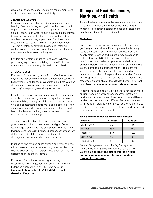<span id="page-6-0"></span>develop a list of space and equipment requirements and costs to determine potential profitability.

### *Feeders and Waterers*

Goats and sheep will likely need some supplemental feeding. Feeders for hay and grain may be constructed or purchased. They should allow ample room for each animal. Fresh, clean water should be available at all times to animals. Very small flocks could use watering troughs or other containers. Larger pastures often have water lines flowing to a central point at which an automatic waterer is installed. Although buying and installing pasture waterers may cost more than using containers, they can save labor over the long haul.

Feeders and waterers must be kept clean. Whether purchasing equipment or building it yourself, choose materials that can be easily cleaned and sanitized.

### *Predator Control*

Predators of sheep and goats in North Carolina include coyotes as well as wild or unleashed domesticated dogs. Even when strong fences prevent intrusion, both wild and domesticated animals can also create stress in a flock by "running" sheep and goats along fence lines.

Effective perimeter fences are some of the best predator controls for sheep and goats. Allowing a flock access to secure buildings during the night can also be a deterrent. Wild and domesticated dogs may also be deterred when animals are housed in barns near human activity. Small farms that have outbuildings near a house could use those locations to advantage.

There is a long tradition of using working dogs and guard animals to help protect sheep and goat flocks. Guard dogs that live with the sheep flock, like the Great Pyrenees and Anatolian Shepherd breeds, can effectively deter dogs and wildlife. Larger guard animals, like donkeys and llamas, can also deter predators.

Purchasing and feeding guard animals and working dogs add expense to the market lamb or goat enterprise. It is wise to seek advice from experienced shepherds before deciding to make the investment.

For more information on selecting and using livestock guardian dogs, see the Texas A&M AgriLife Extension publication *Livestock Guardian Dogs* (**[sanangelo.tamu.edu/files/2013/08/Livestock-](https://sanangelo.tamu.edu/files/2013/08/Livestock-Guardian-Dogs1.pdf)[Guardian-Dogs1.pdf](https://sanangelo.tamu.edu/files/2013/08/Livestock-Guardian-Dogs1.pdf)**).

# **Sheep and Goat Husbandry, Nutrition, and Health**

Animal husbandry refers to the everyday care of animals raised for food, fiber, and other products benefitting humans. This section explores the basics of sheep and goat husbandry, nutrition, and health.

# **Nutrition**

Some producers will provide grain and other feeds to grazing goats and sheep. If a complete ration is being fed to the goats or sheep, like bagged feed from a farm supply store, vitamins and minerals may be added to that feed. A local NC State Extension professional, veterinarian, or experienced producer can help a new producer determine if the goats or sheep are eating what is considered to be a balanced ration. Producers can learn to balance sheep and goat rations based on the quantity and quality of forage and feed available. Several helpful spreadsheets on balancing rations, including free resources, are available at the Maryland Small Ruminant Page (**[www.sheepandgoat.com/rationsoftware](https://www.sheepandgoat.com/rationsoftware))**.

Feeding sheep and goats a diet balanced for the animal's nutrient needs is essential for successful, profitable production. Different sizes of livestock will have different nutrient requirements, and different feeds and forages will provide different levels of those requirements. Tables 5 and 6 provide examples of sizes of goats and lambs and their daily nutrient requirements.

| <b>Nutrient</b> | 30-Ib Goat | 60-Ib Goat |
|-----------------|------------|------------|
| Dry matter (lb) | 20         | 3.0        |
| TDN(%)          | 68.0       | 65.0       |
| Protein (%)     | 14.0       | 12.0       |
| Calcium (%)     | 0.6        | 0.4        |
| Phosphorus (%)  | በ 3        | በ 2        |

### **Table 5. Daily Nutrient Requirement for Meat Goats**

Source: *Forage Needs and Grazing Management for Meat Goats in the Humid Southeast*, NC State Extension, **[content.ces.ncsu.edu/forage-needs](https://content.ces.ncsu.edu/forage-needs-and-grazing-management-for-meat-goats-in-the-humid-southeast)[and-grazing-management-for-meat-goats-in](https://content.ces.ncsu.edu/forage-needs-and-grazing-management-for-meat-goats-in-the-humid-southeast)[the-humid-southeast](https://content.ces.ncsu.edu/forage-needs-and-grazing-management-for-meat-goats-in-the-humid-southeast)**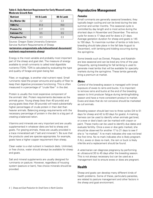#### <span id="page-7-0"></span>**Table 6. Daily Nutrient Requirement for Early Weaned Lambs, Moderate Growth Rate**

| <b>Nutrient</b> | 44-Ib Lamb | 88-lb Lamb |
|-----------------|------------|------------|
| Dry Matter (Ib) | 22         | 3.3        |
| TDN $(%)$       | 81.0       | 78.0       |
| Protein (%)     | 0.17       | 0.13       |
| Calcium (%)     | 0.5        | 05         |
| Phosphorus (%)  | በ 3        | በ 3        |

#### Source: Oregon State University Extension Service Nutrient Requirements of Sheep (**[extension.oregonstate.edu/educational-document/](https://extension.oregonstate.edu/educational-document/nutrient-requirements-sheep) [nutrient-requirements-sheep](https://extension.oregonstate.edu/educational-document/nutrient-requirements-sheep)**)

Energy is the most variable and probably most important part of the sheep and goat diet. The measure of energy available to small ruminants is called total digestible nutrients (TDN). TDN is calculated by evaluating the type and quality of forage and grain being fed.

Fiber, or roughage, is another vital nutrient need. Small ruminants need the proper amounts and quality of fiber to keep their digestive processes functioning. This is often measured in a percentage of "crude fiber" in the diet.

Protein is usually the most expensive component of the animals' diet. Protein requirements decrease as the animals grow. Young sheep (less than 40 pounds) and young goats (less than 30 pounds) will need substantially higher percentages of crude protein in their diet than heavier animals. Balancing energy requirements with the necessary percentage of protein in the diet is a big part of creating a balanced ration.

Vitamins and minerals are very important and are usually supplemented in whatever diets are fed to sheep and goats. For grazing animals, these are usually provided in a trace mineralized salt ("salt and minerals"). Be sure that the products used are species-appropriate; for example, goats have a higher copper requirement than sheep.

Clean water is a vital nutrient in livestock diets. Unlimited, or free choice, water should always be available for sheep and goats.

Salt and mineral supplements are usually designed for ruminants on pasture. However, regardless of housing system (pasture or barn), free choice minerals should be provided.

# **Reproductive Management**

### *Females*

Small ruminants are generally seasonal breeders; they typically begin cycling and can be bred during the late summer and winter months. This seasonal cycle is controlled by day length and is most active during the shortest days in November and December. The estrus cycle for ewes is 17 days and for does is 21 days. Average gestation duration for sheep and goats is 145 to 150 days. To maximize number of lambs or kids born, breeding should take place in the fall (late August to December), with lambing and kidding occurring during the springtime.

Some breeds such as Dorset, Polypay, and Katahdin are less seasonal and can be bred any time of the year. Frequently, spring breeding for fall lambing is used to generate meat lambs that will be available for specialty markets during the springtime. These lambs generally bring a premium at market.

### *Males*

Control of the breeding season is managed with timed exposure of ewes to rams and bucks. It is important to remove rams and bucks at the end of the breeding season to limit producer fatigue during lambing/kidding season and have a more consistent product to market. Ewes and does that do not conceive should be marketed as cull animals.

Breeding season should last two to three cycles (34 to 51 days for sheep and 42 to 63 days for goats). A marking harness can be used to identify when animals get bred, or a ewe or doe's back can be marked with crayon or paint. These marks can be used to identify due dates and evaluate fertility. Once a ewe or doe gets marked, she should be observed for another 17 to 21 days to see if she is "re-marked." A re-mark indicates she was not bred the first time. No re-mark indicates she is likely pregnant. If ALL ewes or does re-mark, the ram or buck is likely infertile and a replacement should be found.

A veterinarian can diagnose pregnancy by performing an ultrasound 30 to 45 days after the breeding season. This is not always necessary but can be used as a management tool to ensure ewes or does are pregnant.

# **Health**

Sheep and goats can develop many different kinds of health problems. Some of these, particularly parasites, are related to pasture management and other factors in the sheep and goat environment.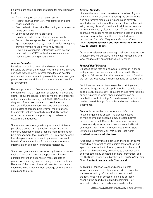Following are some general strategies for small ruminant health.

- Develop a good pasture rotation system.
- Restrict animals from very wet pastures and other soggy conditions.
- Practice basic biosecurity, like limiting access to other flocks and herds.
- Learn about preventive practices.
- Gain basic skills for maintaining animal health.
- Prevent disease spread by providing an isolation (quarantine) pen, pasture, or barn in which contagious animals may be housed while they recover.
- Develop a relationship (veterinarian-client-patient relationship or VCPR) with a local veterinarian who may be called during emergencies.

### *Internal Parasites*

Parasites can be both internal and external. Internal parasites are by far the greatest health challenge in sheep and goat management. Internal parasites can develop resistance to dewormers; to prevent this, sheep and goat producers must carefully follow recommended practices for deworming.

Barber's pole worm (*Haemonchus contortus*), also called stomach worm, is a major internal parasite in sheep and goats. Producers can learn how to monitor the presence of this parasite by learning the FAMACHA® system of diagnosis. Producers can learn to use this system to evaluate different coloration in sheep and goat eyes, an indicator of barber's pole worms, then treat only the animals that are potentially infected. By treating only infected animals, the possibility of resistance to dewormers is reduced.

Some sheep are more genetically resistant to internal parasites than others. If parasite infection is a major concern, selection of sheep that are more resistant can be a management tool. In general, St. Croix and Katahdin hair sheep are more resistant to parasites than wool breeds. Contact your local Extension agent for more information on selection for parasite resistance.

Sheep and goats are also impacted by internal parasites such as intestinal worms and tapeworms. Internal parasite prevention depends on many aspects of production, including pasture management and rotation. Because of the threat of internal parasites, producers should develop a management strategy before bringing animals to the farm.

### *External Parasites*

Lice are the most common external parasites of goats and sheep in North Carolina. Sucking lice puncture the skin and remove blood, causing anemia in severely infested sheep and goats. Chewing lice feed on hair and skin, causing discomfort to the animal. Infected animals will rub and scratch, often to excess. There are several approved medications for lice control in goats and sheep. For more information, see the NC State Extension publication *Lice: What They Are and How to Control Them* (**[content.ces.ncsu.edu/lice-what-they-are-and](https://content.ces.ncsu.edu/lice-what-they-are-and-how-to-control-them)[how-to-control-them](https://content.ces.ncsu.edu/lice-what-they-are-and-how-to-control-them)**).

Other external parasites affecting small ruminants include wingless flies (called keds), mites (causing scabies), and wool maggots (fly larvae) that cause fly strike.

### *Foot and Hoof Diseases*

Diseases of the feet and hooves are common in sheep and goats and can severely affect flock health. Three major hoof diseases of small ruminants in North Carolina are foot rot, foot scald, and laminitis (also called founder).

Foot diseases can be discouraged by providing clean, dry areas for goats and sheep. Proper hoof care is also a good prevention strategy. Producers should have facilities or holding areas in which sheep and goats can be handled for hoof trimming. Some diseases, like foot rot, can be treated through foot baths and other medicated treatments.

*Foot rot* is caused by two bacteria that infect the hooves of goats and sheep. The disease causes animals to limp and become lame. Infected hooves have a putrid smell. One of the bacteria is common to wet, muddy environments that increase likelihood of infection. For more information, see the NC State Extension publication *Foot Rot: Meat Goat Notes* (**[content.ces.ncsu.edu/foot-rot](https://content.ces.ncsu.edu/foot-rot))**.

*Foot scald* is inflammation between the toes (or claws) caused by a different microorganism than foot rot. The symptoms are similar to foot rot, except for the lack of bad smell. Products may be applied to treat foot scald, and foot baths may be used. For more information, see the NC State Extension publication *Foot Scald: Meat Goat Notes* (**[content.ces.ncsu.edu/foot-scald](https://content.ces.ncsu.edu/foot-scald))**.

*Laminitis*, or founder, is a foot disease in goats whose causes are not fully understood. The condition is characterized by inflammation of soft tissue in the foot. Feeding an excess of grain and abruptly changing the goat diet are linked to laminitis. For information about oral medications available for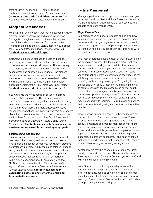<span id="page-9-0"></span>treating laminitis, see the NC State Extension publication *Laminitis or Founder: Meat Goat Notes* (**[content.ces.ncsu.edu/laminitis-or-founder\)](https://content.ces.ncsu.edu/laminitis-or-founder)**. See Additional Resources for related health information.

# **Sheep and Goat Diseases**

*Pink eye* is an eye infection that may be caused by many different kinds of organisms and minor eye injuries. Pinkeye is contagious; small ruminants that appear to have pinkeye should be isolated from other animals. For information, see the NC State Extension publication *Pink Eye or Keratoconjunctivitis: Meat Goat Notes* (**[content.ces.ncsu.edu/pink-eye](https://content.ces.ncsu.edu/pink-eye)**)**.**

*Listeriosis* is a serious disease of goats and sheep caused by bacteria called *Listeria* that may be present in the environment, especially in places like rotting hay, dirty feeders, manure, and goat milk. Listeriosis can cause death and abortion in adult goats. The disease is especially concerning because *Listeria* can be transferred to humans and have adverse health effects. For more information, see the NC State Extension publication *Listeriosis in Your Herd: Meat Goat Notes* (**[content.ces.ncsu.edu/listeriosis-in-your-herd](https://content.ces.ncsu.edu/listeriosis-in-your-herd))**.

*Coccidiosis* is the most common cause of diarrhea in young sheep and goats. The disease is caused by microscopic protozoa in the goat's intestinal tract. Young animals that are stressed, such as after being separated from the mother (dam), are more susceptible. Good management practices, like keeping waterers and feeders clean, help prevent infection. For more information, see the NC State Extension publication *Coccidiosis, the Most Common Cause of Diarrhea in Young Goats: Animal Science Facts* (**[content.ces.ncsu.edu/coccidiosis-the](https://content.ces.ncsu.edu/coccidiosis-the-most-common-cause-of-diarrhea-in-young-goats)[most-common-cause-of-diarrhea-in-young-goats\)](https://content.ces.ncsu.edu/coccidiosis-the-most-common-cause-of-diarrhea-in-young-goats).**

### *Enterotoxemia and Tetanus*

Preventing diseases through vaccination can be much less costly than treating an infected herd, and some health problems cannot be treated. Vaccination prevents enterotoxemia (overeating disease) and tetanus in sheep and goats. Most recommendations for sheep and goat producers advise such vaccinations, as they prevent costly diseases that can result in animal mortality. To help guide decisions about vaccination, see the NC State Extension publication *Vaccinating Goats Against Enterotoxemia and Tetanus: Is it Necessary: Animal Science Facts* (**[content.ces.ncsu.edu/](https://content.ces.ncsu.edu/vaccinating-goats-against-enterotoxemia-and-tetanus-is-it-necessary) [vaccinating-goats-against-enterotoxemia-and](https://content.ces.ncsu.edu/vaccinating-goats-against-enterotoxemia-and-tetanus-is-it-necessary)[tetanus-is-it-necessary](https://content.ces.ncsu.edu/vaccinating-goats-against-enterotoxemia-and-tetanus-is-it-necessary)).**

# **Pasture Management**

Managing pastures is very important for sheep and goat health and nutrition. See Additional Resources for some NC State Extension publications that address specific aspects of pasture management.

### *Major Pasture Types*

Beginning sheep and goat producers should plan how to manage pastures in advance, otherwise established pastures and other grazing areas may be quickly used up. Understanding major types of pasture plantings in North Carolina can help a producer design pastures filled with diverse forages across seasons.

Cool-season forages develop most of their growth during the spring and autumn. Tall fescue is a prominent coolseason grass; orchard-grass and white clover are also common cool-season forages. With proper management, pastures with these grasses can be used from early spring through the start of summer and then again in the fall. Many producers use a practice called stockpiling, or letting cool-season grasses grow for grazing in the late fall and even early winter. If stockpiling is planned, be sure to consider possible associated animal health issues; stock-piled forages could be less nutritious and, in some cases, present toxicity issues for different species. Pastures composed primarily of cool-season grasses may be seeded with legumes, like red clover and alfalfa, that provide potential grazing and nutrition during hotter months.

Warm-season perennial grasses like bermudagrass are common in North Carolina and nearby states. These grasses grow the most during hotter months. With adequate moisture and management for animal health, warm-season grasses can provide substantial nutrition. Some producers with larger cool-season pastures plant separate paddocks with warm-season annual grasses (sudangrass, sorghum-sudangrass, and pearl millet) so that grazing needs may be met during the hotter months when cool-season grasses are growing slowly.

Winter annuals may be seeded into existing pastures, usually using no-till techniques. These include brassicas (kale, rape, and turnip), cereals (wheat, rye, and oats) and winter annual legumes (hairy vetch).

Note: Some crops, including annual grasses in the sorghum family, may present potential health issues for different species, such as being toxic soon after a frost; consult an animal nutritionist or veterinarian about new seedings. See Additional Resources for information about grass poisoning in sheep and goats.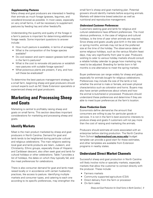### <span id="page-10-0"></span>*Supplementing Pastures*

Many sheep and goat producers are interested in feeding their animals as much forage (grasses, legumes, and woodland browse) as possible. In most cases, especially on very small farms, it will be necessary to supplement pastures by feeding hay and other feedstuffs.

Understanding the quantity and quality of the forage in a farm's pasture is important for determining additional forage needs. Some important questions to answer include:

- How much pasture is available, in terms of acreage?
- What is the composition of the forage species available?
- Do cool-season and warm-season grasses both exist in the farm's pastures?
- What is the cost to renovate old pastures or establish new pastures with suitable forage species?
- What poisonous plants are present, if any, and how will these be eradicated?

To determine the best pasture management strategy for a small farm, beginning sheep and goat producers should consult experts such as NC State Extension specialists or experienced sheep and goat producers.

# **Marketing and Processing Sheep and Goats**

Marketing is central to profitably raising sheep and goats on small farms. This section describes important considerations for marketing and processing sheep and goats.

# **Identify Markets**

Meat is the main product marketed by sheep and goat producers in North Carolina. Demand for goat and lamb tends to be heightened during particular cultural and religious celebrations. The main religions seeking local goat and lamb products are Islam, Judaism, and Christianity. Ethnic groups, especially those of Hispanic and Caribbean descent, also often seek goat and lamb for cultural holidays or other celebrations. Table 7 provides a list of holidays, the dates on which they typically fall, and the meat preferences for celebrations.

There is also consumer demand for goat and lamb meat raised locally or in accordance with certain husbandry practices, like access to pasture. Identifying multiple markets and consumer types, and catering to each one according to its specific preferences, may strengthen the small farm's sheep and goat marketing plan. Potential growers should identify markets before acquiring animals. Markets will determine breed selection as well as nutritional and reproductive management.

### *Understand Customer Preferences*

Customers seeking goat and lamb for religious and cultural celebrations have different preferences. The most obvious preference, in the case of religious and cultural holidays, is the time of year when animals are required. Since sheep and goats usually give birth in the late winter or spring months, animals may not be at the preferred size at the time of the holiday. The observance dates of some religious holidays, such as the various Muslim feast days, may vary significantly from year to year. Producers wishing to cater to various holiday markets should consult a reliable holiday calendar to gauge how marketing may need to be adjusted. Breeding for lambs born in fall months is one alternative to meet the spring markets.

Buyer preferences can range widely for sheep and goats, especially for animals bought for religious celebrations. Preferences may include the size of the lamb or kid, whether the animal is male or female, and even physical characteristics such as coloration and horns. Buyers may also have certain preferences about where and how the animal is butchered or processed. Producers should understand these preferences and determine if they are able to meet buyer preferences at the farm's location.

### *Know Production Costs*

Economists define *demand* as the amount that consumers are willing to pay for particular goods or services. It is not in the farm's best economic interests to produce sheep and goats if customers will not pay more than the cost of raising and marketing the animals.

Producers should estimate all costs associated with an enterprise before starting production. The North Carolina Farm School (**[ncfarmschool.ces.ncsu.edu](https://ncfarmschool.ces.ncsu.edu/)**) budget template can provide a good start for these estimates, and other templates are available from Extension programs in nearby states.

# **Understand Direct Market Channels**

Successful sheep and goat production in North Carolina will likely involve niche or specialty markets, especially markets that allow the customer to connect directly with the producer. These include:

- Farmers markets
- Community supported agriculture (CSA)
- Direct delivery from the farm or processor
- On-farm sales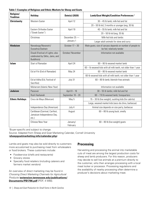<span id="page-11-0"></span>

| Religion/<br><b>Tradition</b>           | <b>Holiday</b>                                                                    | Date(s) (2020)       | Lamb/Goat Weight/Condition Preferences <sup>1</sup>                                     |  |
|-----------------------------------------|-----------------------------------------------------------------------------------|----------------------|-----------------------------------------------------------------------------------------|--|
| <b>Christianity</b>                     | Western Easter                                                                    | April 12             | $30 - 45$ lb lamb; milk-fed and fat                                                     |  |
|                                         |                                                                                   |                      | $20 - 50$ lb kid; 3 months or younger (avg. 30 lb)                                      |  |
|                                         | Eastern Orthodox Easter                                                           | April 19             | 40 - 55 lb lamb; milk-fed and fat                                                       |  |
|                                         | ("Greek Easter")                                                                  |                      | $20 - 50$ lb kid (avg. 35 lb)                                                           |  |
|                                         | Christmas                                                                         | December 25-         | Milk-fed kids and lambs                                                                 |  |
|                                         |                                                                                   | January 1            | Larger adult animals for stew and curry                                                 |  |
| <b>Hinduism</b>                         | Navadurga/Navaratri/<br>Dussehra/Dashain                                          | October $17 - 30$    | Male goats; size of carcass depends on number of people to<br>be fed; relatively tender |  |
|                                         | Diwali (Festival of Lights; also<br>celebrated by Sikhs, Jains, and<br>Buddhists) | October/November     | Information not available                                                               |  |
| <b>Start of Ramadan</b><br><b>Islam</b> |                                                                                   | April 24             | 60 - 80 lb weaned market lamb                                                           |  |
|                                         |                                                                                   |                      | 60 - Ib weaned kids with all milk teeth, not older than 1 year                          |  |
|                                         | Eid al-Fitr (End of Ramadan)                                                      | May 24               | 60 - 80 lb weaned market lamb                                                           |  |
|                                         |                                                                                   |                      | 60-lb weaned kids with all milk teeth; not older than 1 year                            |  |
|                                         | Eid al-Adha (Eid, Festival of<br>Sacrifice)                                       | July 31              | $60 - 80$ lb lamb; blemish-free animals                                                 |  |
|                                         | Muharram (Islamic New Year)                                                       |                      | Information not available                                                               |  |
| <b>Judaism</b>                          | Passover                                                                          | April $8 - 16$       | 30 - 55 lb lambs; milk-fed and fat                                                      |  |
|                                         | Rosh Hashanah                                                                     | September $18 - 20$  | 60 - 110 lb weaned lamb; forequarters                                                   |  |
| <b>Ethnic Holidays</b>                  | Cinco de Mayo (Mexican)                                                           | May 5                | 15 - 30 lb (live weight); suckling kids (for cabrito)                                   |  |
|                                         |                                                                                   |                      | Large, weaned market kids (seco de chivo, barbecue)                                     |  |
|                                         | Independence Day (American)                                                       | July 4               | Animal size depends on size party, barbecue                                             |  |
|                                         | Caribbean (Carnival, Carifest,<br>Jamaican Independence Day,<br>etc.              | August               | $60 - 80$ lb young buck; smelly                                                         |  |
|                                         | Chinese New Year                                                                  | January/<br>February | $60 - 80$ lb (live weight) goats                                                        |  |

1 Buyer-specific and subject to change.

Source: Adapted from Sheep and Goat Marketing Calendar, Cornell University

### (**[sheepgoatmarketing.info/calendar.php](http://sheepgoatmarketing.info/calendar.php)**)

Lambs and goats may also be sold directly to customers more accustomed to purchasing meat from wholesalers or food brokers. These customers include:

- Foodservice (chefs and restaurants)
- Grocery stores
- Specialty food retailers (including caterers and farmers market vendors)

An overview of direct marketing may be found in *Choosing Direct Marketing Channels for Agricultural Products* (**[extension.tennessee.edu/publications/](https://extension.tennessee.edu/publications/Documents/PB1796.pdf) [Documents/PB1796.pdf](https://extension.tennessee.edu/publications/Documents/PB1796.pdf)** [PDF, 4 MB]).

# **Processing**

Harvesting and processing the animal into marketable cuts of meat are among the largest production costs for sheep and lamb producers. For this reason, producers may decide to sell live animals at a premium directly to the customer, who then arranges processing with a local meat locker or processor. Processing regulations and the availability of nearby processing often determine a producer's decisions about marketing meat.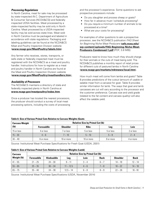### *Processing Regulations*

In North Carolina, meat for sale may be processed by state-inspected (N.C. Department of Agriculture & Consumer Services [NCDA&CS]) and federally inspected UDSA facilities. Meat processed by a state-inspected facility may be sold only in North Carolina. Meat processed by a USDA-inspected facility may be sold across state lines. Meat sold in North Carolina must be packaged and labeled in accordance with state regulations. Packaging and labeling guidelines can be found at the NCDA&CS Meat and Poultry Inspection Division website (**[www.ncagr.gov/MeatPoultry/labels.htm](https://www.ncagr.gov/MeatPoultry/labels.htm)**).

Any farmer who receives, stores, transports, or sells state or federally inspected meat must be registered with the NCDA&CS as a meat and poultry handler. Instructions for how to register as a meat and poultry handler in North Carolina are found at the Meat and Poultry Inspection Division website (**[www.ncagr.gov/MeatPoultry/meathandlers.htm](https://www.ncagr.gov/MeatPoultry/meathandlers.htm)**)**.**

### *Availability of Processors*

The NCDA&CS maintains a directory of state and federally inspected plants in North Carolina at **[www.ncagr.gov/meatpoultry/index.htm](https://www.ncagr.gov/meatpoultry/index.htm)**.

Once a producer has located the nearest processors, the producer should conduct a survey of local meat processing options, including the costs of processing and the processor's experience. Some questions to ask prospective processors include:

- Do you slaughter and process sheep or goats?
- How far in advance must I schedule processing?
- Do you require a minimum number of animals to be processed at a time?
- What are your costs for processing?

For examples of other questions to ask a prospective processor, see the NCDA&CS publication *FAQ Sheet for Beginning Niche Meat Producers* (**[cefs.ncsu.edu/](https://cefs.ncsu.edu/wp-content/uploads/FAQ-Beginning-Niche-Meat-Producers-Condensed-1.pdf) [wp-content/uploads/FAQ-Beginning-Niche-Meat-](https://cefs.ncsu.edu/wp-content/uploads/FAQ-Beginning-Niche-Meat-Producers-Condensed-1.pdf)[Producers-Condensed-1.pdf](https://cefs.ncsu.edu/wp-content/uploads/FAQ-Beginning-Niche-Meat-Producers-Condensed-1.pdf)** [PDF, 3.8 MB]).

Producers need to know how much they should charge for their animals or the cuts of meat being sold. The NCDA&CS publishes a monthly report of retail prices for different cuts of pastured lambs in North Carolina (**[www.ncagr.gov/markets/mktnews/local.htm](https://www.ncagr.gov/markets/mktnews/local.htm)**).

How much meat will come from lambs and goats? Table 8 provides predictions of the cutout (amount of usable or salable meat from a carcass) for goat. Table 9 provides similar information for lamb. The ways that goat and lamb carcasses are cut will vary according to the processor and the customer preference. Carcass size and yield grade (related to the fat content and carcass quality) will also affect the salable yield.

| <b>Carcass Weight</b> | <b>Relative Size by Primal Cut (Ib)</b> |                 |             |           |           |
|-----------------------|-----------------------------------------|-----------------|-------------|-----------|-----------|
| (Ib)                  | <b>Foresaddle</b>                       | <b>Shoulder</b> | <b>Ribs</b> | Leg       | Loin      |
| 15 or less            | 4 or less                               | or less         | 5 or less   | 5 or less | 2 or less |
| $15 - 30$             | $4 - 6$                                 | $7 - 10$        | $5 - 10$    | $5 - 8$   | $7 - 4$   |
| $30 - 40$             | 6 or more                               | 10 or more      | 10 or more  | 8 or more | 4 or more |

#### **Table 8. Size of Various Primal Cuts Relative to Carcass Weights (Goats**

Source: Institutional Meat Purchase Specifications for Fresh Goat (USDA, 2001)

#### **Table 9. Size of Various Primal Cuts Relative to Carcass Weights (Lamb)**

| <b>Carcass</b> | <b>Relative Size by Primal Cut (Ib)</b> |                   |             |         |             |                 |             |
|----------------|-----------------------------------------|-------------------|-------------|---------|-------------|-----------------|-------------|
| Weight (Ib)    | <b>Foresaddle</b>                       | <b>Hindsaddle</b> | Leg         | Loin    | <b>Rack</b> | <b>Shoulder</b> | <b>Back</b> |
| $41 - 55$      | $21 - 25$                               | $24 - 30$         | $9 - 11$    | $3 - 4$ | $6 - 7$     | $14 - 18$       | $12 - 14$   |
| $55 - 65$      | $25 - 35$                               | $30 - 34$         | $11 - 12.5$ | $4 - 6$ | $7 - 8$     | $18 - 22$       | $14 - 16$   |
| $65 - 75$      | $35 - 40$                               | $34 - 38$         | $12.5 - 14$ | $6 - 8$ | $8 - 9$     | $22 - 26$       | $16 - 18$   |

Source: Institutional Meat Purchase Specifications (USDA, November 2014)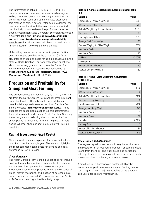<span id="page-13-0"></span>The information in Tables 10-1, 10-2, 11-1, and 11-2 underscores how there may be financial advantages in selling lambs and goats on a live weight per-pound or per-animal cost. Local and ethnic markets often favor this method of sale. If cuts for retail sale are desired, the producer should visit with the meat processor to find out the likely cutout to determine profitable prices per pound. Washington State University Extension developed a downloadable app (**[extension.wsu.edu/animalag/](https://extension.wsu.edu/animalag/content/wsu-livestock-carcass-grade-cutability-calculator/) [content/wsu-livestock-carcass-grade-cutability](https://extension.wsu.edu/animalag/content/wsu-livestock-carcass-grade-cutability-calculator/)[calculator](https://extension.wsu.edu/animalag/content/wsu-livestock-carcass-grade-cutability-calculator/)**) that allows quick calculation of retail cuts for lambs, based on live weight and yield grade.

Unless they can be processed at an inspected facility, animals must be sold live to the customer. On-farm slaughter of sheep and goats for sale is not allowed in the state of North Carolina. For frequently asked questions about processing goat and lamb, see the Center for Environmental Farming Systems web resources at **[https://cefs.ncsu.edu/wp-content/uploads/FAQ\\_](https://cefs.ncsu.edu/wp-content/uploads/FAQ_Marketing_Meats.pdf?x77888) [Marketing\\_Meats.pdf](https://cefs.ncsu.edu/wp-content/uploads/FAQ_Marketing_Meats.pdf?x77888)** (PDF, 692 KB).

# **Production and Profitability for Sheep and Goat Farming**

The production costs in Tables 10-1, 10-2, 11-1, and 11-2 are from the North Carolina Farm School small ruminant budget estimates. These budgets are available as downloadable spreadsheets at the North Carolina Farm School website (**[ncfarmschool.ces.ncsu.edu](https://ncfarmschool.ces.ncsu.edu/)**). These budgets are based upon a set of realistic assumptions for small ruminant production in North Carolina. Studying these budgets, and adapting them to the production assumptions for a specific farm, can help new farmers decide whether sheep or goat production will likely be profitable.

# **Capital Investment (Fixed Costs)**

Capital investments are expenses for items that will be used for more than a single year. This section highlights the most common capital costs for a sheep and goat enterprise in North Carolina.

### *Stock Purchase*

The North Carolina Farm School budget does not include cost for the purchase of breeding animals. It is assumed that the farm has operated for three or more years. Productive ewes or does purchased will vary by purity of breed, proven mothering, and location of purchase (sale barn or reputable breeder). Cost varies widely, but \$180 to \$400 for a breeding animal is a likely range.

### **Table 10-1. Annual Goat Budgeting Assumptions for Table 10-2.**

| Variable                           | Value  |
|------------------------------------|--------|
| Stocking Rate (Animals per Acre)   | 7.00   |
| Weight Ib/per bale of hay          | 500    |
| % Body Weight Hay Consumption Avg. | 3.0%   |
| # of Days on Hay                   | 60     |
| Doe Replacement Rate               | 20%    |
| Average Buck Body Weight           | 160    |
| Carcass Weight, % of Live Weight   | 50%    |
| Number of Bucks                    | 1      |
| Number of Does                     | 30     |
| Kid Loss                           | 10.00% |
| Kidding Rate                       | 1.7    |
| Weight of Kids to Market           | 70     |
| Average Doe Body Weight            | 120    |

### **Table 11-1. Annual Lamb Budgeting Assumptions for Table 11-2.**

| Variable                         | <b>Value</b> |
|----------------------------------|--------------|
| Stocking Rate (Animals per Acre) | 6.00         |
| Weight Ib/per Bale of Hay        | 500          |
| % Body Weight Hay Consumption    | 2.5%         |
| # of Days on Hay, Wintering      | 60           |
| <b>Ewe Replacement Rate</b>      | 20%          |
| Average Ram Body Weight          | 175          |
| Number of Rams                   |              |
| Number of Ewes                   | 30           |
| Lamb Loss                        | 10.00%       |
| Lambing Rate                     | 1.7          |
| Weight of Lambs to Market        | 80           |
| Average Ewe Bodyweight           | 140          |

### *Truck, Trailer, and Machinery*

The largest capital investment will likely be for the truck and livestock trailer required to transport sheep and goats to and from the farm. The truck could also be used for delivery of processed cuts to customers or outfitted with coolers for direct marketing at farmers markets.

A small (40 to 55 horsepower) tractor will likely be necessary for pasture maintenance and feeding hay. A bush hog (rotary mower) that attaches to the tractor is also useful for pasture maintenance.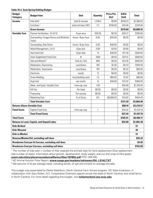#### **Table 10-2. Goat Spring Kidding Budget**

| <b>Budget</b><br><b>Category</b>                             | <b>Budget Item</b>                                   | <b>Unit</b>         | <b>Quantity</b> | <b>Price Per</b><br><b>Unit</b> | \$/Kid<br>Sold | <b>Total</b> |  |
|--------------------------------------------------------------|------------------------------------------------------|---------------------|-----------------|---------------------------------|----------------|--------------|--|
| <b>Income</b>                                                | Kids Sold <sup>1</sup>                               | total Ib carcass    | 1,295.0         | \$5.69                          | \$200.23       | \$7,368.55   |  |
|                                                              | Cull Does <sup>2</sup>                               | total cull does CWT | 7.2             | \$100.00                        | \$19.46        | \$720.00     |  |
|                                                              | <b>Gross Income</b>                                  |                     |                 |                                 | \$219.69       | \$8,088.55   |  |
| <b>Variable Cost</b>                                         | Pasture Fertilization, 10-10-10                      | Ib per acre         | 500.00          | \$0.30                          | \$20.27        | \$750.00     |  |
|                                                              | Overseeding, Forage Chicory and Birdsfoot<br>Trefoil | Acres / \$ per Acre | 0.00            | \$40.00                         | \$0.00         | \$0.00       |  |
|                                                              | Overseeding, Red Clover                              | Acres / \$ per Acre | 0.00            | \$40.00                         | \$0.00         | \$0.00       |  |
|                                                              | Weed Management, 2,4-D                               | \$ per pint         | 0.00            | \$3.00                          | \$0.00         | \$0.00       |  |
|                                                              | <b>Hay Feed Cost</b>                                 | \$ per bale         | 14              | \$30.00                         | \$11.35        | \$420.00     |  |
|                                                              | <b>Grain Supplement Feed Cost</b>                    | lb                  | 1000            | \$0.50                          | \$13.51        | \$500.00     |  |
|                                                              | Salt and Mineral <sup>3</sup>                        | Total lb / \$ lb    | 984             | \$0.50                          | \$13.30        | \$492.00     |  |
|                                                              | Medication, Deworming                                | cost/doses          | 164             | \$1.00                          | \$4.43         | \$164.00     |  |
|                                                              | Medication, Vaccination                              | cost/doses          | 164             | \$0.50                          | \$2.22         | \$82.00      |  |
|                                                              | Electricity                                          | month               | 12              | \$0.00                          | \$0.00         | \$0.00       |  |
|                                                              | <b>Straw Bedding</b>                                 | tons/bedding used   | 1.0             | \$60.00                         | \$1.62         | \$60.00      |  |
|                                                              | Dog Food                                             | per month           | 12              | \$40.00                         | \$12.97        | \$480.00     |  |
|                                                              | Mach. and Equip. Variable Cost                       | from cap. exp.      | 1.00            |                                 | \$40.99        | \$1,516.55   |  |
|                                                              | Kill Fee                                             | Per head            | \$0.00          | \$0.00                          | \$0.00         | \$0.00       |  |
|                                                              | Processing                                           | Per carcass         | \$0.00          | \$0.00                          | \$0.00         | \$0.00       |  |
|                                                              | <b>Marketing Cost</b>                                | % of Gross          | 5%              | \$8,088.55                      | \$10.93        | \$404.43     |  |
|                                                              | <b>Total Variable Cost</b>                           |                     |                 |                                 | \$131.59       | \$4,868.98   |  |
| <b>Returns Above Variable Cost</b>                           |                                                      |                     |                 |                                 | \$88.10        | \$3,219.57   |  |
| <b>Fixed Costs</b>                                           | <b>Capital Fixed Cost</b>                            | from cap. exp.      | $\mathbf{1}$    |                                 | \$33.42        | \$1,537.19   |  |
|                                                              | <b>Total Fixed Costs</b>                             |                     |                 |                                 | \$33.42        | \$1,537.19   |  |
| <b>Total Costs</b>                                           |                                                      |                     |                 |                                 | \$165.01       | \$6,406.17   |  |
| <b>Returns to Land, Capital, and Unpaid Labor</b><br>\$54.68 |                                                      |                     |                 |                                 |                |              |  |
| <b>Kids Birthed</b>                                          |                                                      |                     |                 |                                 |                | 51           |  |
| <b>Kids Weaned</b>                                           |                                                      |                     |                 |                                 |                |              |  |
| <b>Kids to Market</b>                                        |                                                      |                     |                 |                                 |                |              |  |
| <b>Returns/Market Kid, excluding cull does</b>               |                                                      |                     |                 |                                 |                |              |  |
| Breakeven Cost per Ib Carcass, excluding cull does           |                                                      |                     |                 |                                 |                |              |  |
| <b>Breakeven Cost per Carcass, excluding cull does</b>       |                                                      |                     |                 |                                 |                |              |  |

<sup>1</sup> The number of kids sold = number of kids weaned the animals kept for herd replacement (Doe replacement rate number of does). Information about growth, development, body weight, and cut and wrap of Kiko goats: **[ucanr.edu/sites/placernevadasmallfarms/files/197802.pdf](https://ucanr.edu/sites/placernevadasmallfarms/files/197802.pdf)** (PDF, 258 KB).

2 NC Animal Auction Price Report: **[www.ncagr.gov/markets/mktnews/RA\\_LS142.TXT](http://www.ncagr.gov/markets/mktnews/RA_LS142.TXT)**

 $\,3\,$  We assume 12 lb per average head, including lambs, of salt and mineral on average annually.

This budget was assembled by Derek Washburn, North Carolina Farm School program, NC State Extension, in collaboration with Gary Bullen, N.C. Cooperative Extension agents across the state of North Carolina, and small farms in North Carolina. For more detail regarding this budget, visit **[ncfarmschool.ces.ncsu.edu](https://ncfarmschool.ces.ncsu.edu/)**.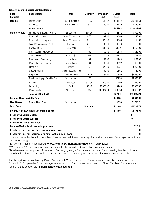| <b>Budget</b><br><b>Category</b>                                         | <b>Budget Item</b>                | <b>Unit</b>           | <b>Quantity</b> | Price per<br><b>Unit</b> | \$/Lamb<br>Sold | <b>Total</b> |  |  |
|--------------------------------------------------------------------------|-----------------------------------|-----------------------|-----------------|--------------------------|-----------------|--------------|--|--|
| <b>Income</b>                                                            | Lambs Sold <sup>1</sup>           | Total Ib cuts sold    | 1,185.2         | \$13.57                  | \$434.72        | \$16,084.64  |  |  |
|                                                                          | Cull Ewes <sup>2</sup>            | <b>Total Ewes CWT</b> | 8.4             | \$100.00                 | \$22.70         | \$840.00     |  |  |
|                                                                          | <b>Gross Income</b>               |                       |                 |                          | \$457.42        | \$16,924.64  |  |  |
| <b>Variable Costs</b>                                                    | Pasture Fertilization, 10-10-10   | Lb per acre           | 500.00          | \$0.30                   | \$24.32         | \$900.00     |  |  |
|                                                                          | Overseeding, clover               | Acres / \$ per Acre   | 0.00            | \$32.00                  | \$0.00          | \$0.00       |  |  |
|                                                                          | Overseeding, crabgrass            | Acres / \$ per Acre   | 0.00            | \$25.00                  | \$0.00          | \$0.00       |  |  |
|                                                                          | Weed Management, 2,4-D            | \$ per pint           | 2.00            | \$3.00                   | \$0.16          | \$6.00       |  |  |
|                                                                          | <b>Hay Feed Cost</b>              | \$ per bale           | 14              | \$35.00                  | \$13.24         | \$490.00     |  |  |
|                                                                          | <b>Grain Supplement Feed Cost</b> | $\mathsf{lb}$         | 500             | \$0.50                   | \$6.76          | \$250.00     |  |  |
|                                                                          | Salt and Mineral <sup>3</sup>     | Total lb / \$ lb      | 984             | \$0.48                   | \$12.77         | \$472.32     |  |  |
|                                                                          | Medication, Deworming             | cost / doses          | 164             | \$1.00                   | \$4.43          | \$164.00     |  |  |
|                                                                          | Medication, Vaccination           | cost / doses          | 164             | \$0.50                   | \$2.22          | \$82.00      |  |  |
|                                                                          | Electricity                       | month                 | 12              | \$25.00                  | \$8.11          | \$300.00     |  |  |
|                                                                          | <b>Straw Bedding</b>              | tons of bedding used  | $\mathbf{1}$    | \$60.00                  | \$1.62          | \$60.00      |  |  |
|                                                                          | Dog Food                          | Ib of dog food        | 1,095           | \$1.00                   | \$29.59         | \$1,095.00   |  |  |
|                                                                          | Mach. and Equip. Variable Cost    | from cap. exp.        | 1.00            |                          | \$41.53         | \$1,536.57   |  |  |
|                                                                          | Kill Fee                          | Per head              | \$25.00         | \$925.00                 | \$25.00         | \$925.00     |  |  |
|                                                                          | Processing                        | Per Ib                | \$2.00          | \$2,370.37               | \$64.06         | \$2,370.37   |  |  |
|                                                                          | <b>Marketing Cost</b>             | % of Gross            | 8%              | \$16,924.64              | \$36.59         | \$1,353.97   |  |  |
|                                                                          | <b>Total Variable Cost</b>        |                       |                 |                          | \$270.41        | \$10,005.23  |  |  |
| <b>Returns Above Variable Cost</b>                                       |                                   |                       |                 |                          | \$187.01        | \$6,919.41   |  |  |
| <b>Fixed Costs</b>                                                       | <b>Capital Fixed Cost</b>         | from cap. exp.        | $\mathbf{1}$    |                          | \$46.50         | \$1,720.51   |  |  |
| <b>Total Costs</b>                                                       |                                   |                       | <b>Per Lamb</b> |                          | \$316.91        | \$11,725.73  |  |  |
| <b>Returns to Land, Capital, and Unpaid Labor</b><br>\$140.51            |                                   |                       |                 |                          |                 |              |  |  |
| <b>Break-even Lambs Birthed</b>                                          |                                   |                       |                 |                          |                 |              |  |  |
| <b>Break-even Lambs Weaned</b>                                           |                                   |                       |                 |                          |                 |              |  |  |
| <b>Break-even Lambs to Market</b>                                        |                                   |                       |                 |                          |                 |              |  |  |
| <b>Returns/Market Lamb, excluding cull ewes</b>                          |                                   |                       |                 |                          |                 |              |  |  |
| Breakeven Cost per Ib of Cuts, excluding cull ewes                       |                                   |                       |                 |                          |                 |              |  |  |
| Breakeven Cost per Ib Carcass, no cuts, excluding cull ewes <sup>4</sup> |                                   |                       |                 |                          |                 |              |  |  |

#### **Table 11-2. Sheep Spring Lambing Budget.**

 $1$ The number of lambs sold = number of lambs weaned the animals kept for herd replacement (ewe replacement rate number of ewes).

2 NC Animal Auction Price Report: **[www.ncagr.gov/markets/mktnews/RA\\_LS142.TXT](http://www.ncagr.gov/markets/mktnews/RA_LS142.TXT)**

<sup>3</sup> We assume 12 lb per average head, including lambs, of salt and mineral on average annually.

4 Break-even cost per pound of carcass or "at hanging weight" includes a discount of a processing fee that will not exist if the butcher does not create final cuts and includes a discount against total cost that ewes provide annually.

This budget was assembled by Derek Washburn, NC Farm School, NC State University, in collaboration with Gary Bullen, N.C. Cooperative Extension agents across North Carolina, and small farms in North Carolina. For more detail regarding this budget, visit **[ncfarmschool.ces.ncsu.edu](https://ncfarmschool.ces.ncsu.edu/)**.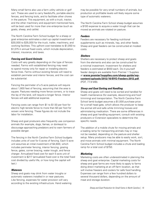Many small farms also use a farm utility vehicle or golf cart. These are used to carry feedstuffs, portable electric fences, and fencing tools, and to facilitate other chores in the pasture. This equipment, as with a truck, tractor, and the other machinery and equipment mentioned here, will be best used for more than one enterprise (such as goats, sheep, and cattle).

The North Carolina Farm School budget for a sheep or goat enterprise estimates a start-up capital investment of \$30,000 to \$35,000 for the truck, trailer, machinery, and working facilities. This upfront cost translates to \$1,050 to \$1,075 in annual fixed costs, which include depreciation, interest, insurance, and taxes.

### *Fencing and Guard Animals*

Costs will vary greatly depending on the type of fences needed. Farms with established fencing may need to spend money only for repair or installing electric fence lines. Farms without existing fences will need to establish perimeter and interior fences, and the cost can be substantial.

Fencing the perimeter of a 5-acre pasture will require about 1,800 feet of fencing, assuming that the area is square. Pastures needing more fence corners, or to trace the lay of the land, will require a longer fence. Interior fences will add additional expense.

Fencing costs can range from \$1 to \$1.50 per foot for electric high-tensile fence to more than \$3 per foot for woven wire fencing. These figures do not include the labor for installation.

Sheep and goat producers also frequently use companion animals (for example, dogs, llamas, or donkeys) to discourage approaching predators and to warn farmers of possible danger.

The fencing in the North Carolina Farm School budgets includes units of cost for 5 acres of fencing. Each 5-acre unit assumes an initial investment of \$4,600, which includes perimeter fencing, interior fencing, grazing fence, gates, corner bracing, water trough, and fence charger. Annualized fixed cost for each 5-acre unit of investment is \$217 (annualized fixed cost is the total fixed cost divided by useful life, or how long the capital will last.)

### *Waterers*

Sheep and goats may drink from water troughs or automatic waterers installed in or near pastures. Like fencing, expenses for water provision will vary according to the existing infrastructure. Hand watering may be possible for very small numbers of animals, but production at profitable levels will likely require some type of automatic waterers.

The North Carolina Farm School sheep budget assumes a \$100 expense to acquire a water trough that can be moved as animals are rotated on pasture.

### *Feeders*

Feeders are necessary for feeding nutritional supplements such as minerals, hay, and other feeds. Sheep and goat feeders can be constructed at modest costs.

### *Shelters*

Shelters are necessary to protect sheep and goats from the elements and also can be constructed for a minimal investment. Investment for shelters and feeders is estimated at \$550 each. Do-it-yourself feeder designs are available from Premier 1 Supplies at **[www.premier1supplies.com/sheep-guide/wp](https://www.premier1supplies.com/sheep-guide/wp-content/uploads/2012/10/BYO-Feeders-2012.pdf)[content/uploads/2012/10/BYO-Feeders-2012.pdf](https://www.premier1supplies.com/sheep-guide/wp-content/uploads/2012/10/BYO-Feeders-2012.pdf)** (PDF, 77.9 MB).

### *Sheep and Goat Sorting and Handling*

Sheep and goats will need to be sorted and handled for health maintenance (for example, deworming and hoof trimming) and transportation. The North Carolina Farm School lamb budget assumes a \$1,000 purchase price for a small head gate, which allows the producer to keep the animal still and safe while trimming hooves and administering medication. There are some differences in sheep and goat handling equipment; consult with existing producers or Extension specialists to determine the specific needs.

The addition of a mobile chute for moving animals and a loading ramp for transporting animals may or may not be needed, depending on the pasture and shelter setup. Many producers may be able to easily work, sort, and move animals with minimal equipment. The North Carolina Farm School budget includes a chute and loading ramp for a total cost of \$750.

### *Marketing*

Marketing costs are often underestimated in planning the sheep and goat enterprise. Capital marketing costs for sheep and goat farms are more likely to apply to farms doing direct marketing at an off-farm location, as that will involve freezers and coolers for safe food handling. Expenses can range from a few hundred dollars to several thousand dollars, depending on the amount of meat and storage duration.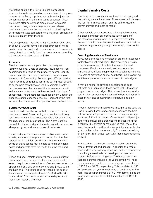<span id="page-17-0"></span>Marketing costs in the North Carolina Farm School example budgets are based on a percentage of the gross income of the farm, supplying a simple and adjustable percentage for estimating marketing expenses. Often producers offer percentage discounts on wholesale purchases. Using a percentage adjustment allows producers to evaluate the cost and effort of selling direct at farmers markets compared to selling larger amounts of products directly from the farm.

The sheep budget includes an 8 percent marketing cost of about \$1,300 for farmers market offerings of meat sold in cuts. The goat budget assumes a whole carcass is being picked up directly from the processor, representing a 5 percent marketing cost, or \$480.

### *Insurance*

Fixed insurance costs apply to farm property and liability coverage. Costs of property insurance will vary according to the value of the property insured. Liability insurance costs may vary considerably, depending on the method of marketing. For example, different liability insurance may be required for farms selling meat directly to consumers than those selling live animals directly. It is wise to review the nature of the farm operation with an insurance professional with expertise in that type of assessment. Fixed costs for insurance are included in the budget's capital expense sheet as 1 percent of the total value of the purchase of the operation in annualized cost.

### *Summary of Fixed Costs*

Fixed costs do not change with the number of animals produced or sold. Sheep and goat operations will likely require substantial fixed costs, especially for equipment, fencing, and other infrastructure. The North Carolina Farm School lamb and goat budgets can help prospective sheep and goat producers pinpoint fixed costs.

Sheep and goat enterprises may be able to use some assets, such as a pick-up truck or trailer, for other farm operations. In addition, small farms that already own some of these assets may be able to minimize capital costs and generate farm returns to help maintain and replace equipment.

Sheep and goat infrastructure will require a significant investment. For example, the fixed start-up costs for a suite of equipment needed for a 10-acre sheep enterprise approached \$80,000 on the low end and \$100,000 on the high end. This figure does not include the cost of the animals. The budget estimates \$1,800 to \$2,000 in annualized fixed costs, which include depreciation, insurance, interest, and taxes.

# **Capital Variable Costs**

The variable costs of capital are the costs of using and maintaining the capital assets. These costs include items like fuel for farm equipment and the vehicle used to deliver animals and meat to market.

Other variable costs associated with capital expenses in a sheep and goat enterprise include repairs and maintenance of equipment. It is important to factor these costs into the enterprise budget to ensure that the operation is generating enough in returns to service the assets.

### *Feed, Supplements, and Medication*

Feed, supplements, and medication are major expenses for lamb and goat production. The amount and quality of pasture available will dictate the needs for feed purchases. Feed costs should also incorporate the expense of nutritional supplements like salt and minerals. The cost of preventive animal healthcare, like deworming for internal parasite control, also needs to be budgeted.

It may be helpful to develop a separate feed cost estimate and then assign those costs within the sheep or goat production budget. This calculation is especially useful when comparing the costs of different feedstuffs, kinds of hay, and combinations of pasture and grain rations.

Though feed consumption varies throughout the year, the North Carolina Farm School budget assumes the herd will consume 2.5 pounds of minerals a day, on average, at a cost of \$0.48 per pound. Consumption will peak just before the annual lamb crop goes to market. Herd size is roughly 150 animals or more during this time of the year. Consumption will be at a low point just after lambs go to market, when there are only 31 animals remaining on the farm. Total annual cost with these assumptions is \$437.76.

In the budget, medication has been broken out by the type of treatment and dosage. In general, the type of dose and volume will vary by animal, and we recommend consulting a veterinarian to develop your treatment protocol before estimating cost. The budget assumes that each animal, including the year's lambs, will need two vaccinations and two dewormings per year at a cost of \$0.50 and \$1.00, respectively. This translates to 150 to 160 doses per year of each type of treatment for the herd. The cost per animal is \$1.50 (with farmer doing the treatment), representing a total annual cost of \$225 to \$250.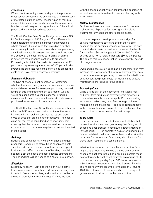### *Processing*

When direct marketing sheep and goats, the producer must pay for processing the animals into a whole carcass or marketable cuts of meat. Processing an animal into a marketable carcass generally incurs a flat rate charge, but the cost will vary according to the size of the animal processed and the desired cuts provided.

The North Carolina Farm School budget assumes a \$25 kill fee for sheep and \$50 for goats. The difference in cost is related to finishing an animal in cuts versus a whole carcass. It is assumed that providing a finished carcass ready to sell involves more labor than processing an animal into cuts. Processors can and should include this cost with the cost related to finishing an animal in cuts with the per pound cost of cuts processed. Processing a lamb into finished cuts is estimated at \$2 per pound, representing a total cost of \$67 per animal on average. Be sure that you consider including processing costs even if you have a nonmeat enterprise.

### *Purchase of Animals*

The type of sheep or goat operation will determine whether the sheep and goats are a fixed (capital) expense or a variable expense. For example, purchasing weaned lambs or kids and finishing them to a market weight would be considered a variable expense. Breeding animals would be considered a fixed cost, while animals purchased for resale would be a variable cost.

The North Carolina Farm School budgets assume there is a herd with 30 animals and that a portion of the lamb or kid crop is being retained each year to replace breeding ewes or does that are no longer productive. The cost of gains not realized is considered an "opportunity cost," meaning that the number of animals retained represent no actual cash cost to the enterprise and are not included in the budget.

### *Bedding*

Bedding and costs can vary widely for sheep and goat producers. Bedding, like straw, helps sheep and goats stay dry and warm. The amount of time animals spend in shelters will affect the amount of bedding material needed. Both the sheep and goat budgets estimate that 1 ton of bedding will be needed at a cost of \$60 per ton.

### *Electricity*

Electricity needs will vary depending on how electric fences are powered, whether producers are storing meat for sale in freezers or coolers, and whether animal barns are using electricity. A monthly cost of \$25 is included

with the sheep budget, which assumes the operation of several freezers with metered power and fencing with solar power.

### *Pasture Maintenance*

Fertilizer and seed are common expenses for pasture maintenance. Expenses for mowing and herbicide treatments for weeds are other possible costs.

It may be helpful to develop a separate budget for pasture maintenance costs and assign the variable expense for the specific purposes of any farm. The only cost included in variable pasture expenses in the North Carolina Farm School budget is \$750 to \$900 for 500 pounds of 10-10-10 fertilizer per acre (\$0.30 per pound). The goal of this rate of application is to supply 50 pounds of nitrogen per acre.

Overseeding costs are included as a placeholder and may increase the productivity of a farm by allowing producers to have more animals per acre, but are not included in the budget cost. Equipment costs for mowing and pasture maintenance are included in the budget.

### *Marketing Costs*

While a large part of the expense for marketing meat and other farm products is covered within processing costs, other variable costs can apply. Producers selling at farmers markets may incur fees for registration or membership and stall rental. It is also important to factor in the costs of transporting meat to the market and the amount of labor hours needed for that transport.

### *Labor Costs*

It may be difficult to estimate the amount of labor that is required for the sheep and goat enterprise. Many small sheep and goat producers contribute a large amount of "sweat equity" — the operator's own effort used to build fences, establish shelter and water lines, and provide the daily care for the animals. Farms may also hire labor for these tasks, resulting in a cash expense.

Whether the owner contributes the labor or hires farm helpers, it is important to value the time spent on the sheep and goat enterprise. For example, a sample meat goat enterprise budget might estimate an average of 30 minutes to 1 hour per day (up to 365 hours per year) for a 30-doe meat goat operation on 5 to 6 acres. If a value of \$10 per hour were assumed for that labor, \$1,825 to \$3,650 in returns would be required above costs just to generate a minimal return on the owner's time.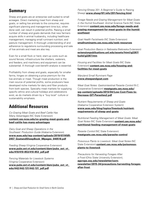# <span id="page-19-0"></span>**Summary**

Sheep and goats are an enterprise well-suited to small acreages. Direct marketing meat from sheep and goats, or selling live animals to the consumer, requires significant planning and management time but, when done well, can result in potential profits. Raising a small number of sheep and goats demands that new farmers acquire skills in animal husbandry, including healthcare management; managing small ruminant nutrition; and pasture management. A thorough understanding of and adherence to regulations surrounding processing and sale of live animals and meat are also key.

Even for a small flock or herd, start-up costs such as sound fences; infrastructure like shelters, waterers, and feeders; and machinery and equipment can be substantial. A thorough cost-benefit analysis is essential.

Profitability from sheep and goats, especially for smaller farms, hinges on obtaining a price premium for the live animals or meat. Though meat production is the main source of potential profits, some producers have developed niche markets for dairy and fiber products from both species. Specialty meat markets for supplying specific ethnic and cultural holidays and celebrations exist, as do markets driven by a "buy local" culture or sustainability emphasis.

# **Additional Resources**

*Co-Grazing Meat Goats and Beef Cattle Has Many Advantages* (NC State Extension) **[content.ces.ncsu.edu/co-grazing-meat-goats-and](https://content.ces.ncsu.edu/co-grazing-meat-goats-and-beef-cattle-has-many-advantages)[beef-cattle-has-many-advantages](https://content.ces.ncsu.edu/co-grazing-meat-goats-and-beef-cattle-has-many-advantages)**

*Dairy Goat and Sheep Operations in the Southeast: Production Guide* (Alabama Extension) **[www.aces.edu/wp-content/uploads/2019/07/ANR-](https://www.aces.edu/wp-content/uploads/2019/07/ANR-2457_GoatandSheepBook_98pages_040518.pdf)[2457\\_GoatandSheepBook\\_98pages\\_040518.pdf](https://www.aces.edu/wp-content/uploads/2019/07/ANR-2457_GoatandSheepBook_98pages_040518.pdf)**

*Feeding Sheep* (Virginia Cooperative Extension) **[www.pubs.ext.vt.edu/content/dam/pubs\\_ext\\_vt\\_](https://www.pubs.ext.vt.edu/content/dam/pubs_ext_vt_edu/410/410-853/410-853_pdf.pdf) [edu/410/410-853/410-853\\_pdf.pdf](https://www.pubs.ext.vt.edu/content/dam/pubs_ext_vt_edu/410/410-853/410-853_pdf.pdf)**

*Fencing Materials for Livestock Systems* (Virginia Cooperative Extension) **[www.pubs.ext.vt.edu/content/dam/pubs\\_ext\\_vt\\_](https://www.pubs.ext.vt.edu/content/dam/pubs_ext_vt_edu/442/442-131/442-131_pdf.pdf) [edu/442/442-131/442-131\\_pdf.pdf](https://www.pubs.ext.vt.edu/content/dam/pubs_ext_vt_edu/442/442-131/442-131_pdf.pdf)**

*Fencing* (Sheep 201: A Beginner's Guide to Raising Sheep) **[www.sheep101.info/201/fencing.html](http://www.sheep101.info/201/fencing.html)**

*Forage Needs and Grazing Management for Meat Goats in the Humid Southeast: Animal Science Facts* (NC State Extension) **[content.ces.ncsu.edu/forage-needs-and](https://content.ces.ncsu.edu/forage-needs-and-grazing-management-for-meat-goats-in-the-humid-southeast)[grazing-management-for-meat-goats-in-the-humid](https://content.ces.ncsu.edu/forage-needs-and-grazing-management-for-meat-goats-in-the-humid-southeast)[southeast](https://content.ces.ncsu.edu/forage-needs-and-grazing-management-for-meat-goats-in-the-humid-southeast)**

*Goat Health Factsheets* (NC State Extension) **[smallruminants.ces.ncsu.edu/web-resources](https://smallruminants.ces.ncsu.edu/web-resources/)**

*Goat Production Basics in Nebraska* (Nebraska Extension) **[extensionpublications.unl.edu/assets/html/g2267/](http://extensionpublications.unl.edu/assets/html/g2267/build/g2267.htm) [build/g2267.htm](http://extensionpublications.unl.edu/assets/html/g2267/build/g2267.htm)**

*Housing and Facilities for Meat Goats* (NC State Extension) **[content.ces.ncsu.edu/housing-and](https://content.ces.ncsu.edu/housing-and-facilities-for-meat-goats)[facilities-for-meat-goats](https://content.ces.ncsu.edu/housing-and-facilities-for-meat-goats)**

*Maryland Small Ruminant Page* **[www.sheepandgoat.com](https://www.sheepandgoat.com/)**

*Meat Goat Notes: Gastrointestinal Parasite Control* (N.C. Cooperative Extension) **[meatgoats.ces.ncsu.edu/](https://meatgoats.ces.ncsu.edu/wp-content/uploads/2013/04/Low-Cost-Fixes-to-Decrease-GIT-Parasites2.pdf) [wp-content/uploads/2013/04/Low-Cost-Fixes-to-](https://meatgoats.ces.ncsu.edu/wp-content/uploads/2013/04/Low-Cost-Fixes-to-Decrease-GIT-Parasites2.pdf)[Decrease-GIT-Parasites2.pdf](https://meatgoats.ces.ncsu.edu/wp-content/uploads/2013/04/Low-Cost-Fixes-to-Decrease-GIT-Parasites2.pdf)**

*Nutrient Requirements of Sheep and Goats* (Alabama Cooperative Extension System) **[www.aces.edu/blog/topics/livestock/nutrient](https://www.aces.edu/blog/topics/livestock/nutrient-requirements-of-sheep-and-goats/)[requirements-of-sheep-and-goats](https://www.aces.edu/blog/topics/livestock/nutrient-requirements-of-sheep-and-goats/)**

*Nutritional Feeding Management of Meat Goats: Meat Goat Notes* (NC State Extension) **[content.ces.ncsu.edu/](https://content.ces.ncsu.edu/nutritional-feeding-management-of-meat-goats) [nutritional-feeding-management-of-meat-goats](https://content.ces.ncsu.edu/nutritional-feeding-management-of-meat-goats)**

*Parasite Control* (NC State Extension) **[meatgoats.ces.ncsu.edu/parasite-control](https://meatgoats.ces.ncsu.edu/parasite-control/)**

*Poisonous Plants to Livestock: Meat Goat Notes* (NC State Extension) **[content.ces.ncsu.edu/poisonous](https://content.ces.ncsu.edu/poisonous-plants-to-livestock)[plants-to-livestock](https://content.ces.ncsu.edu/poisonous-plants-to-livestock)**

*Precautions for Harvesting Forages After a Frost* (Ohio State University Extension) **[agcrops.osu.edu/newsletter/corn](https://agcrops.osu.edu/newsletter/corn-newsletter/2015-34/precautions-harvesting-forages-after-frost)[newsletter/2015-34/precautions-harvesting-forages](https://agcrops.osu.edu/newsletter/corn-newsletter/2015-34/precautions-harvesting-forages-after-frost)[after-frost](https://agcrops.osu.edu/newsletter/corn-newsletter/2015-34/precautions-harvesting-forages-after-frost)**.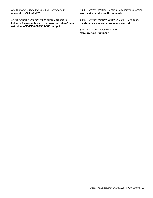*Sheep 201: A Beginner's Guide to Raising Sheep* **[www.sheep101.info/201](http://www.sheep101.info/201)**

*Sheep Grazing Management*. (Virginia Cooperative Extension) **[www.pubs.ext.vt.edu/content/dam/pubs\\_](https://www.pubs.ext.vt.edu/content/dam/pubs_ext_vt_edu/410/410-366/410-366_pdf.pdf) [ext\\_vt\\_edu/410/410-366/410-366\\_pdf.pdf](https://www.pubs.ext.vt.edu/content/dam/pubs_ext_vt_edu/410/410-366/410-366_pdf.pdf)**

*Small Ruminant Program* (Virginia Cooperative Extension) **[www.ext.vsu.edu/small-ruminants](https://www.ext.vsu.edu/small-ruminants)**

*Small Ruminant Parasite Control* (NC State Extension) **[meatgoats.ces.ncsu.edu/parasite-control](https://meatgoats.ces.ncsu.edu/parasite-control/)**

*Small Ruminant Toolbox* (ATTRA) **[attra.ncat.org/ruminant](https://attra.ncat.org/ruminant/)**